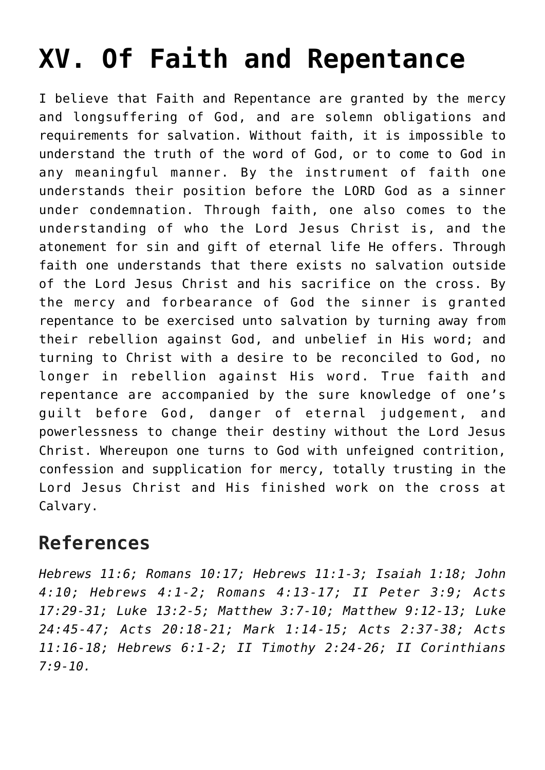## **[XV. Of Faith and Repentance](https://reproachofmen.org/statement-of-faith/xv-of-faith-and-repentance/)**

I believe that Faith and Repentance are granted by the mercy and longsuffering of God, and are solemn obligations and requirements for salvation. Without faith, it is impossible to understand the truth of the word of God, or to come to God in any meaningful manner. By the instrument of faith one understands their position before the LORD God as a sinner under condemnation. Through faith, one also comes to the understanding of who the Lord Jesus Christ is, and the atonement for sin and gift of eternal life He offers. Through faith one understands that there exists no salvation outside of the Lord Jesus Christ and his sacrifice on the cross. By the mercy and forbearance of God the sinner is granted repentance to be exercised unto salvation by turning away from their rebellion against God, and unbelief in His word; and turning to Christ with a desire to be reconciled to God, no longer in rebellion against His word. True faith and repentance are accompanied by the sure knowledge of one's guilt before God, danger of eternal judgement, and powerlessness to change their destiny without the Lord Jesus Christ. Whereupon one turns to God with unfeigned contrition, confession and supplication for mercy, totally trusting in the Lord Jesus Christ and His finished work on the cross at Calvary.

## **References**

*Hebrews 11:6; Romans 10:17; Hebrews 11:1-3; Isaiah 1:18; John 4:10; Hebrews 4:1-2; Romans 4:13-17; II Peter 3:9; Acts 17:29-31; Luke 13:2-5; Matthew 3:7-10; Matthew 9:12-13; Luke 24:45-47; Acts 20:18-21; Mark 1:14-15; Acts 2:37-38; Acts 11:16-18; Hebrews 6:1-2; II Timothy 2:24-26; II Corinthians 7:9-10.*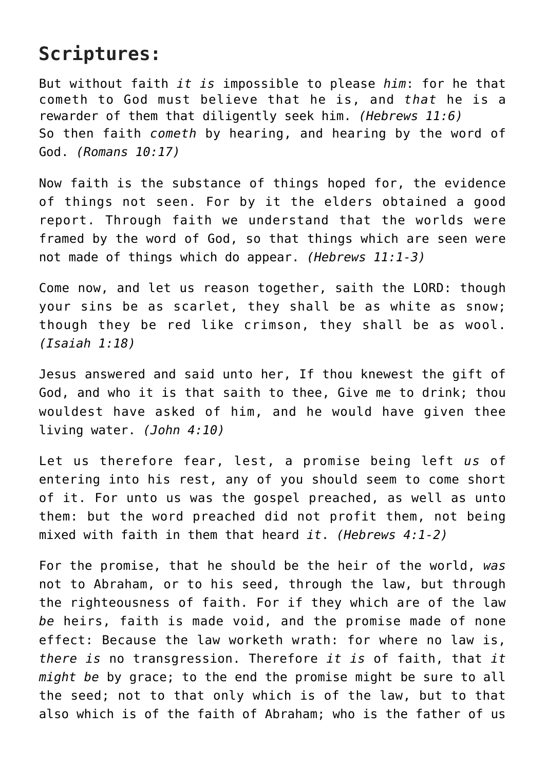## **Scriptures:**

But without faith *it is* impossible to please *him*: for he that cometh to God must believe that he is, and *that* he is a rewarder of them that diligently seek him. *(Hebrews 11:6)* So then faith *cometh* by hearing, and hearing by the word of God. *(Romans 10:17)*

Now faith is the substance of things hoped for, the evidence of things not seen. For by it the elders obtained a good report. Through faith we understand that the worlds were framed by the word of God, so that things which are seen were not made of things which do appear. *(Hebrews 11:1-3)*

Come now, and let us reason together, saith the LORD: though your sins be as scarlet, they shall be as white as snow; though they be red like crimson, they shall be as wool. *(Isaiah 1:18)*

Jesus answered and said unto her, If thou knewest the gift of God, and who it is that saith to thee, Give me to drink; thou wouldest have asked of him, and he would have given thee living water. *(John 4:10)*

Let us therefore fear, lest, a promise being left *us* of entering into his rest, any of you should seem to come short of it. For unto us was the gospel preached, as well as unto them: but the word preached did not profit them, not being mixed with faith in them that heard *it*. *(Hebrews 4:1-2)*

For the promise, that he should be the heir of the world, *was* not to Abraham, or to his seed, through the law, but through the righteousness of faith. For if they which are of the law *be* heirs, faith is made void, and the promise made of none effect: Because the law worketh wrath: for where no law is, *there is* no transgression. Therefore *it is* of faith, that *it might be* by grace; to the end the promise might be sure to all the seed; not to that only which is of the law, but to that also which is of the faith of Abraham; who is the father of us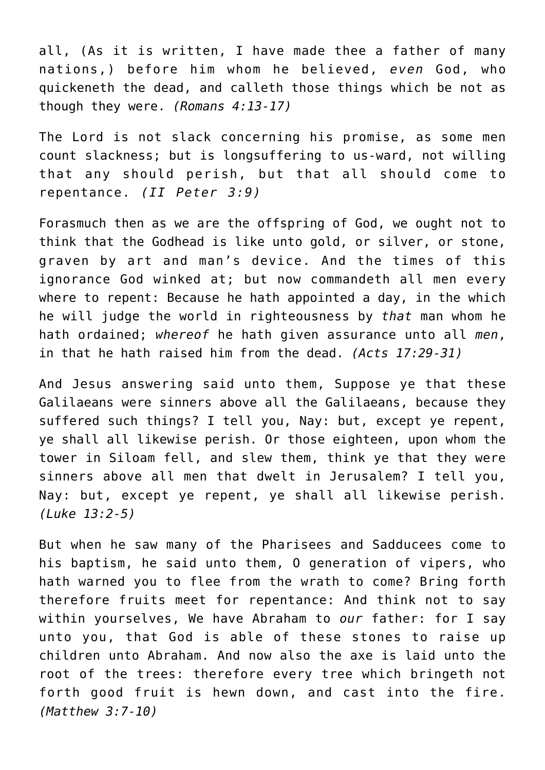all, (As it is written, I have made thee a father of many nations,) before him whom he believed, *even* God, who quickeneth the dead, and calleth those things which be not as though they were. *(Romans 4:13-17)*

The Lord is not slack concerning his promise, as some men count slackness; but is longsuffering to us-ward, not willing that any should perish, but that all should come to repentance. *(II Peter 3:9)*

Forasmuch then as we are the offspring of God, we ought not to think that the Godhead is like unto gold, or silver, or stone, graven by art and man's device. And the times of this ignorance God winked at; but now commandeth all men every where to repent: Because he hath appointed a day, in the which he will judge the world in righteousness by *that* man whom he hath ordained; *whereof* he hath given assurance unto all *men*, in that he hath raised him from the dead. *(Acts 17:29-31)*

And Jesus answering said unto them, Suppose ye that these Galilaeans were sinners above all the Galilaeans, because they suffered such things? I tell you, Nay: but, except ye repent, ye shall all likewise perish. Or those eighteen, upon whom the tower in Siloam fell, and slew them, think ye that they were sinners above all men that dwelt in Jerusalem? I tell you, Nay: but, except ye repent, ye shall all likewise perish. *(Luke 13:2-5)*

But when he saw many of the Pharisees and Sadducees come to his baptism, he said unto them, O generation of vipers, who hath warned you to flee from the wrath to come? Bring forth therefore fruits meet for repentance: And think not to say within yourselves, We have Abraham to *our* father: for I say unto you, that God is able of these stones to raise up children unto Abraham. And now also the axe is laid unto the root of the trees: therefore every tree which bringeth not forth good fruit is hewn down, and cast into the fire. *(Matthew 3:7-10)*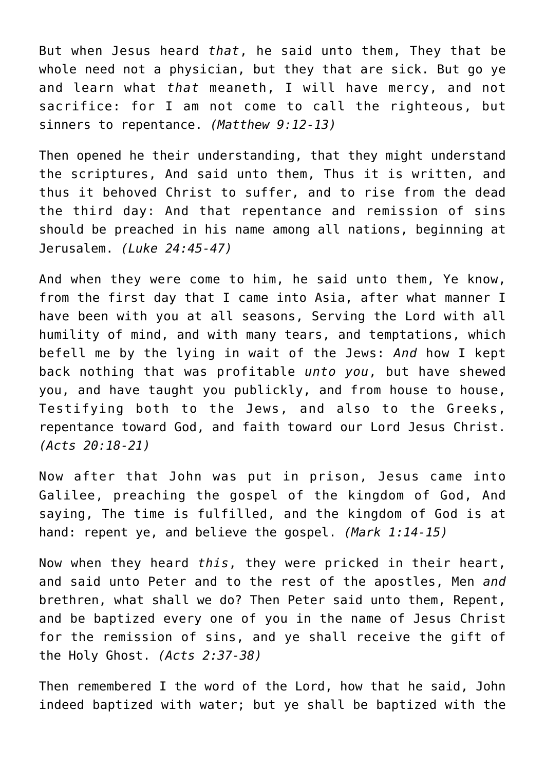But when Jesus heard *that*, he said unto them, They that be whole need not a physician, but they that are sick. But go ye and learn what *that* meaneth, I will have mercy, and not sacrifice: for I am not come to call the righteous, but sinners to repentance. *(Matthew 9:12-13)*

Then opened he their understanding, that they might understand the scriptures, And said unto them, Thus it is written, and thus it behoved Christ to suffer, and to rise from the dead the third day: And that repentance and remission of sins should be preached in his name among all nations, beginning at Jerusalem. *(Luke 24:45-47)*

And when they were come to him, he said unto them, Ye know, from the first day that I came into Asia, after what manner I have been with you at all seasons, Serving the Lord with all humility of mind, and with many tears, and temptations, which befell me by the lying in wait of the Jews: *And* how I kept back nothing that was profitable *unto you*, but have shewed you, and have taught you publickly, and from house to house, Testifying both to the Jews, and also to the Greeks, repentance toward God, and faith toward our Lord Jesus Christ. *(Acts 20:18-21)*

Now after that John was put in prison, Jesus came into Galilee, preaching the gospel of the kingdom of God, And saying, The time is fulfilled, and the kingdom of God is at hand: repent ye, and believe the gospel. *(Mark 1:14-15)*

Now when they heard *this*, they were pricked in their heart, and said unto Peter and to the rest of the apostles, Men *and* brethren, what shall we do? Then Peter said unto them, Repent, and be baptized every one of you in the name of Jesus Christ for the remission of sins, and ye shall receive the gift of the Holy Ghost. *(Acts 2:37-38)*

Then remembered I the word of the Lord, how that he said, John indeed baptized with water; but ye shall be baptized with the